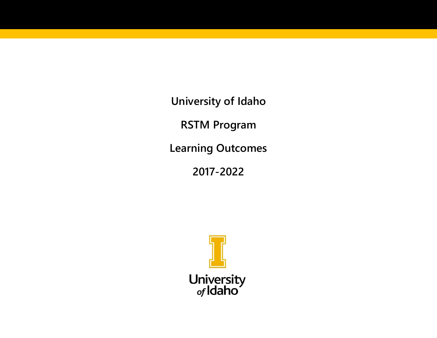**University of Idaho**

**RSTM Program**

**Learning Outcomes**

**2017-2022**

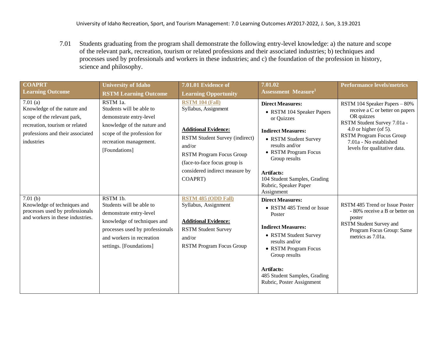7.01 Students graduating from the program shall demonstrate the following entry-level knowledge: a) the nature and scope of the relevant park, recreation, tourism or related professions and their associated industries; b) techniques and processes used by professionals and workers in these industries; and c) the foundation of the profession in history, science and philosophy.

| <b>COAPRT</b>                                                                                                                                                | <b>University of Idaho</b>                                                                                                                                                                | 7.01.01 Evidence of                                                                                                                                                                                                                       | 7.01.02                                                                                                                                                                                                                                                                                           | <b>Performance levels/metrics</b>                                                                                                                                                                                                   |
|--------------------------------------------------------------------------------------------------------------------------------------------------------------|-------------------------------------------------------------------------------------------------------------------------------------------------------------------------------------------|-------------------------------------------------------------------------------------------------------------------------------------------------------------------------------------------------------------------------------------------|---------------------------------------------------------------------------------------------------------------------------------------------------------------------------------------------------------------------------------------------------------------------------------------------------|-------------------------------------------------------------------------------------------------------------------------------------------------------------------------------------------------------------------------------------|
| <b>Learning Outcome</b>                                                                                                                                      | <b>RSTM Learning Outcome</b>                                                                                                                                                              | <b>Learning Opportunity</b>                                                                                                                                                                                                               | <b>Assessment Measure</b> <sup>1</sup>                                                                                                                                                                                                                                                            |                                                                                                                                                                                                                                     |
| $7.01$ (a)<br>Knowledge of the nature and<br>scope of the relevant park,<br>recreation, tourism or related<br>professions and their associated<br>industries | RSTM 1a.<br>Students will be able to<br>demonstrate entry-level<br>knowledge of the nature and<br>scope of the profession for<br>recreation management.<br>[Foundations]                  | <b>RSTM 104 (Fall)</b><br>Syllabus, Assignment<br><b>Additional Evidence:</b><br>RSTM Student Survey (indirect)<br>and/or<br><b>RSTM Program Focus Group</b><br>(face-to-face focus group is<br>considered indirect measure by<br>COAPRT) | <b>Direct Measures:</b><br>• RSTM 104 Speaker Papers<br>or Quizzes<br><b>Indirect Measures:</b><br>• RSTM Student Survey<br>results and/or<br>• RSTM Program Focus<br>Group results<br>Artifacts:<br>104 Student Samples, Grading                                                                 | RSTM 104 Speaker Papers - 80%<br>receive a C or better on papers<br>OR quizzes<br>RSTM Student Survey 7.01a -<br>4.0 or higher (of 5).<br><b>RSTM Program Focus Group</b><br>7.01a - No established<br>levels for qualitative data. |
| 7.01(b)<br>Knowledge of techniques and<br>processes used by professionals<br>and workers in these industries.                                                | RSTM 1b.<br>Students will be able to<br>demonstrate entry-level<br>knowledge of techniques and<br>processes used by professionals<br>and workers in recreation<br>settings. [Foundations] | <b>RSTM 485 (ODD Fall)</b><br>Syllabus, Assignment<br><b>Additional Evidence:</b><br><b>RSTM Student Survey</b><br>and/or<br><b>RSTM Program Focus Group</b>                                                                              | Rubric, Speaker Paper<br>Assignment<br><b>Direct Measures:</b><br>• RSTM 485 Trend or Issue<br>Poster<br><b>Indirect Measures:</b><br>• RSTM Student Survey<br>results and/or<br>• RSTM Program Focus<br>Group results<br>Artifacts:<br>485 Student Samples, Grading<br>Rubric, Poster Assignment | RSTM 485 Trend or Issue Poster<br>- 80% receive a B or better on<br>poster<br>RSTM Student Survey and<br>Program Focus Group: Same<br>metrics as 7.01a.                                                                             |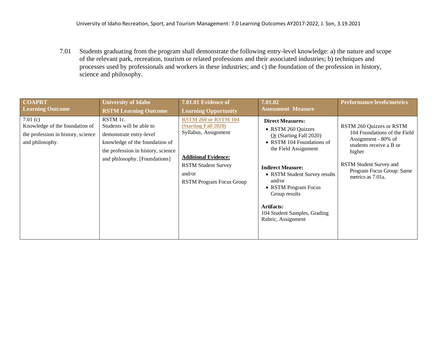7.01 Students graduating from the program shall demonstrate the following entry-level knowledge: a) the nature and scope of the relevant park, recreation, tourism or related professions and their associated industries; b) techniques and processes used by professionals and workers in these industries; and c) the foundation of the profession in history, science and philosophy.

| <b>COAPRT</b>                                                                                      | <b>University of Idaho</b>                                                                                                                                               | 7.01.01 Evidence of                                                                                                                                                                          | 7.01.02                                                                                                                                                                                                                                                                                                             | <b>Performance levels/metrics</b>                                                                                                                                                                 |
|----------------------------------------------------------------------------------------------------|--------------------------------------------------------------------------------------------------------------------------------------------------------------------------|----------------------------------------------------------------------------------------------------------------------------------------------------------------------------------------------|---------------------------------------------------------------------------------------------------------------------------------------------------------------------------------------------------------------------------------------------------------------------------------------------------------------------|---------------------------------------------------------------------------------------------------------------------------------------------------------------------------------------------------|
| <b>Learning Outcome</b>                                                                            | <b>RSTM Learning Outcome</b>                                                                                                                                             | <b>Learning Opportunity</b>                                                                                                                                                                  | <b>Assessment Measure</b>                                                                                                                                                                                                                                                                                           |                                                                                                                                                                                                   |
| 7.01(c)<br>Knowledge of the foundation of<br>the profession in history, science<br>and philosophy. | RSTM 1c.<br>Students will be able to<br>demonstrate entry-level<br>knowledge of the foundation of<br>the profession in history, science<br>and philosophy. [Foundations] | <b>RSTM 260 or RSTM 104</b><br><b>(Starting Fall 2020)</b><br>Syllabus, Assignment<br><b>Additional Evidence:</b><br><b>RSTM Student Survey</b><br>and/or<br><b>RSTM Program Focus Group</b> | <b>Direct Measures:</b><br>• RSTM 260 Quizzes<br>$Or$ (Starting Fall 2020)<br>• RSTM 104 Foundations of<br>the Field Assignment<br><b>Indirect Measure:</b><br>• RSTM Student Survey results<br>and/or<br>• RSTM Program Focus<br>Group results<br>Artifacts:<br>104 Student Samples, Grading<br>Rubric, Assignment | RSTM 260 Quizzes or RSTM<br>104 Foundations of the Field<br>Assignment - 80% of<br>students receive a B or<br>higher<br>RSTM Student Survey and<br>Program Focus Group: Same<br>metrics as 7.01a. |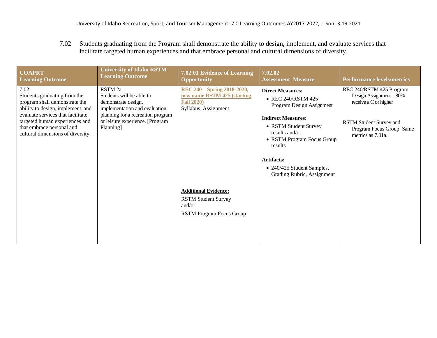7.02 Students graduating from the Program shall demonstrate the ability to design, implement, and evaluate services that facilitate targeted human experiences and that embrace personal and cultural dimensions of diversity.

| <b>COAPRT</b><br><b>Learning Outcome</b>                                                                                                                                                                                                            | <b>University of Idaho RSTM</b><br><b>Learning Outcome</b>                                                                                                                        | 7.02.01 Evidence of Learning<br><b>Opportunity</b>                                                             | 7.02.02<br><b>Assessment Measure</b>                                                                                                                                                                                                                                  | <b>Performance levels/metrics</b>                                                                                                                           |
|-----------------------------------------------------------------------------------------------------------------------------------------------------------------------------------------------------------------------------------------------------|-----------------------------------------------------------------------------------------------------------------------------------------------------------------------------------|----------------------------------------------------------------------------------------------------------------|-----------------------------------------------------------------------------------------------------------------------------------------------------------------------------------------------------------------------------------------------------------------------|-------------------------------------------------------------------------------------------------------------------------------------------------------------|
| 7.02<br>Students graduating from the<br>program shall demonstrate the<br>ability to design, implement, and<br>evaluate services that facilitate<br>targeted human experiences and<br>that embrace personal and<br>cultural dimensions of diversity. | RSTM 2a.<br>Students will be able to<br>demonstrate design,<br>implementation and evaluation<br>planning for a recreation program<br>or leisure experience. [Program<br>Planning] | <u>REC 240 - Spring 2018-2020,</u><br>new name RSTM 425 (starting<br><b>Fall 2020)</b><br>Syllabus, Assignment | <b>Direct Measures:</b><br>• REC 240/RSTM 425<br>Program Design Assignment<br><b>Indirect Measures:</b><br>• RSTM Student Survey<br>results and/or<br>• RSTM Program Focus Group<br>results<br>Artifacts:<br>• 240/425 Student Samples,<br>Grading Rubric, Assignment | REC 240/RSTM 425 Program<br>Design Assignment $-80\%$<br>receive a C or higher<br>RSTM Student Survey and<br>Program Focus Group: Same<br>metrics as 7.01a. |
|                                                                                                                                                                                                                                                     |                                                                                                                                                                                   | <b>Additional Evidence:</b><br><b>RSTM Student Survey</b><br>and/or<br><b>RSTM Program Focus Group</b>         |                                                                                                                                                                                                                                                                       |                                                                                                                                                             |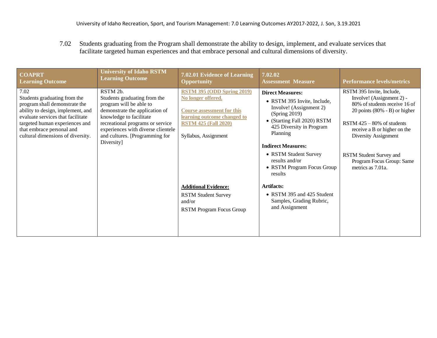7.02 Students graduating from the Program shall demonstrate the ability to design, implement, and evaluate services that facilitate targeted human experiences and that embrace personal and cultural dimensions of diversity.

| <b>COAPRT</b><br><b>Learning Outcome</b>                                                                                                                                                                                                                                      | <b>University of Idaho RSTM</b><br><b>Learning Outcome</b>                                                                                                                                                                       | 7.02.01 Evidence of Learning<br><b>Opportunity</b>                                                                                                                                 | 7.02.02<br><b>Assessment Measure</b>                                                                                                                                                                                                                                                       | <b>Performance levels/metrics</b>                                                                                                                                                                                                                                                                 |
|-------------------------------------------------------------------------------------------------------------------------------------------------------------------------------------------------------------------------------------------------------------------------------|----------------------------------------------------------------------------------------------------------------------------------------------------------------------------------------------------------------------------------|------------------------------------------------------------------------------------------------------------------------------------------------------------------------------------|--------------------------------------------------------------------------------------------------------------------------------------------------------------------------------------------------------------------------------------------------------------------------------------------|---------------------------------------------------------------------------------------------------------------------------------------------------------------------------------------------------------------------------------------------------------------------------------------------------|
| 7.02<br>RSTM 2b.<br>Students graduating from the<br>program shall demonstrate the<br>ability to design, implement, and<br>evaluate services that facilitate<br>targeted human experiences and<br>that embrace personal and<br>cultural dimensions of diversity.<br>Diversity] | Students graduating from the<br>program will be able to<br>demonstrate the application of<br>knowledge to facilitate<br>recreational programs or service<br>experiences with diverse clientele<br>and cultures. [Programming for | <b>RSTM 395 (ODD Spring 2019)</b><br>No longer offered.<br><b>Course assessment for this</b><br>learning outcome changed to<br><b>RSTM 425 (Fall 2020)</b><br>Syllabus, Assignment | <b>Direct Measures:</b><br>• RSTM 395 Invite, Include,<br>Involve! (Assignment 2)<br>(Spring 2019)<br>• (Starting Fall 2020) RSTM<br>425 Diversity in Program<br>Planning<br><b>Indirect Measures:</b><br>• RSTM Student Survey<br>results and/or<br>• RSTM Program Focus Group<br>results | RSTM 395 Invite, Include,<br>Involve! (Assignment 2) -<br>80% of students receive 16 of<br>20 points $(80\% - B)$ or higher<br>RSTM $425 - 80\%$ of students<br>receive a B or higher on the<br>Diversity Assignment<br>RSTM Student Survey and<br>Program Focus Group: Same<br>metrics as 7.01a. |
|                                                                                                                                                                                                                                                                               |                                                                                                                                                                                                                                  | <b>Additional Evidence:</b><br><b>RSTM Student Survey</b><br>and/or<br><b>RSTM Program Focus Group</b>                                                                             | <b>Artifacts:</b><br>• RSTM 395 and 425 Student<br>Samples, Grading Rubric,<br>and Assignment                                                                                                                                                                                              |                                                                                                                                                                                                                                                                                                   |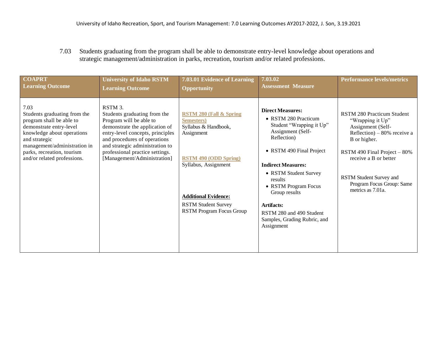7.03 Students graduating from the program shall be able to demonstrate entry-level knowledge about operations and strategic management/administration in parks, recreation, tourism and/or related professions.

| <b>COAPRT</b>                                                                                                                                                                                                                           | <b>University of Idaho RSTM</b>                                                                                                                                                                                                                                               | 7.03.01 Evidence of Learning                                                                                                                                                                                                                           | 7.03.02                                                                                                                                                                                                                                                                                                                                       | <b>Performance levels/metrics</b>                                                                                                                                                                                                                             |
|-----------------------------------------------------------------------------------------------------------------------------------------------------------------------------------------------------------------------------------------|-------------------------------------------------------------------------------------------------------------------------------------------------------------------------------------------------------------------------------------------------------------------------------|--------------------------------------------------------------------------------------------------------------------------------------------------------------------------------------------------------------------------------------------------------|-----------------------------------------------------------------------------------------------------------------------------------------------------------------------------------------------------------------------------------------------------------------------------------------------------------------------------------------------|---------------------------------------------------------------------------------------------------------------------------------------------------------------------------------------------------------------------------------------------------------------|
| <b>Learning Outcome</b>                                                                                                                                                                                                                 | <b>Learning Outcome</b>                                                                                                                                                                                                                                                       | <b>Opportunity</b>                                                                                                                                                                                                                                     | <b>Assessment Measure</b>                                                                                                                                                                                                                                                                                                                     |                                                                                                                                                                                                                                                               |
| 7.03<br>Students graduating from the<br>program shall be able to<br>demonstrate entry-level<br>knowledge about operations<br>and strategic<br>management/administration in<br>parks, recreation, tourism<br>and/or related professions. | RSTM 3.<br>Students graduating from the<br>Program will be able to<br>demonstrate the application of<br>entry-level concepts, principles<br>and procedures of operations<br>and strategic administration to<br>professional practice settings.<br>[Management/Administration] | <b>RSTM 280 (Fall &amp; Spring</b><br><b>Semesters</b> )<br>Syllabus & Handbook,<br>Assignment<br><b>RSTM 490 (ODD Spring)</b><br>Syllabus, Assignment<br><b>Additional Evidence:</b><br><b>RSTM Student Survey</b><br><b>RSTM Program Focus Group</b> | <b>Direct Measures:</b><br>• RSTM 280 Practicum<br>Student "Wrapping it Up"<br>Assignment (Self-<br>Reflection)<br>• RSTM 490 Final Project<br><b>Indirect Measures:</b><br>• RSTM Student Survey<br>results<br>• RSTM Program Focus<br>Group results<br>Artifacts:<br>RSTM 280 and 490 Student<br>Samples, Grading Rubric, and<br>Assignment | RSTM 280 Practicum Student<br>"Wrapping it Up"<br>Assignment (Self-<br>Reflection) – $80\%$ receive a<br>B or higher.<br>RSTM 490 Final Project $-80\%$<br>receive a B or better<br>RSTM Student Survey and<br>Program Focus Group: Same<br>metrics as 7.01a. |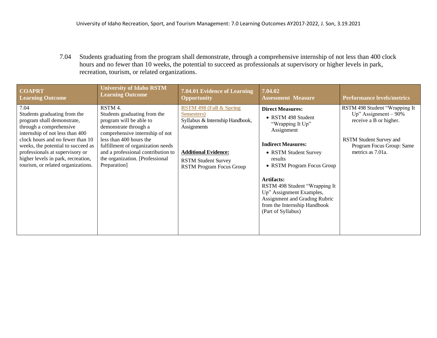7.04 Students graduating from the program shall demonstrate, through a comprehensive internship of not less than 400 clock hours and no fewer than 10 weeks, the potential to succeed as professionals at supervisory or higher levels in park, recreation, tourism, or related organizations.

| <b>COAPRT</b>                                                                                                                                                                                                                                                                                                             | <b>University of Idaho RSTM</b>                                                                                                                                                                                                                                                         | 7.04.01 Evidence of Learning                                                                                                                                                                       | 7.04.02                                                                                                                                                                                                                                                                                                                                          | <b>Performance levels/metrics</b>                                                                                                                              |
|---------------------------------------------------------------------------------------------------------------------------------------------------------------------------------------------------------------------------------------------------------------------------------------------------------------------------|-----------------------------------------------------------------------------------------------------------------------------------------------------------------------------------------------------------------------------------------------------------------------------------------|----------------------------------------------------------------------------------------------------------------------------------------------------------------------------------------------------|--------------------------------------------------------------------------------------------------------------------------------------------------------------------------------------------------------------------------------------------------------------------------------------------------------------------------------------------------|----------------------------------------------------------------------------------------------------------------------------------------------------------------|
| <b>Learning Outcome</b>                                                                                                                                                                                                                                                                                                   | <b>Learning Outcome</b>                                                                                                                                                                                                                                                                 | <b>Opportunity</b>                                                                                                                                                                                 | <b>Assessment Measure</b>                                                                                                                                                                                                                                                                                                                        |                                                                                                                                                                |
| 7.04<br>Students graduating from the<br>program shall demonstrate,<br>through a comprehensive<br>internship of not less than 400<br>clock hours and no fewer than 10<br>weeks, the potential to succeed as<br>professionals at supervisory or<br>higher levels in park, recreation,<br>tourism, or related organizations. | RSTM 4.<br>Students graduating from the<br>program will be able to<br>demonstrate through a<br>comprehensive internship of not<br>less than 400 hours the<br>fulfillment of organization needs<br>and a professional contribution to<br>the organization. [Professional<br>Preparation] | <b>RSTM 498 (Fall &amp; Spring</b><br>Semesters)<br>Syllabus & Internship Handbook,<br>Assignments<br><b>Additional Evidence:</b><br><b>RSTM Student Survey</b><br><b>RSTM Program Focus Group</b> | <b>Direct Measures:</b><br>• RSTM 498 Student<br>"Wrapping It Up"<br>Assignment<br><b>Indirect Measures:</b><br>• RSTM Student Survey<br>results<br>• RSTM Program Focus Group<br>Artifacts:<br>RSTM 498 Student "Wrapping It<br>Up" Assignment Examples,<br>Assignment and Grading Rubric<br>from the Internship Handbook<br>(Part of Syllabus) | RSTM 498 Student "Wrapping It<br>Up" Assignment $-90\%$<br>receive a B or higher.<br>RSTM Student Survey and<br>Program Focus Group: Same<br>metrics as 7.01a. |